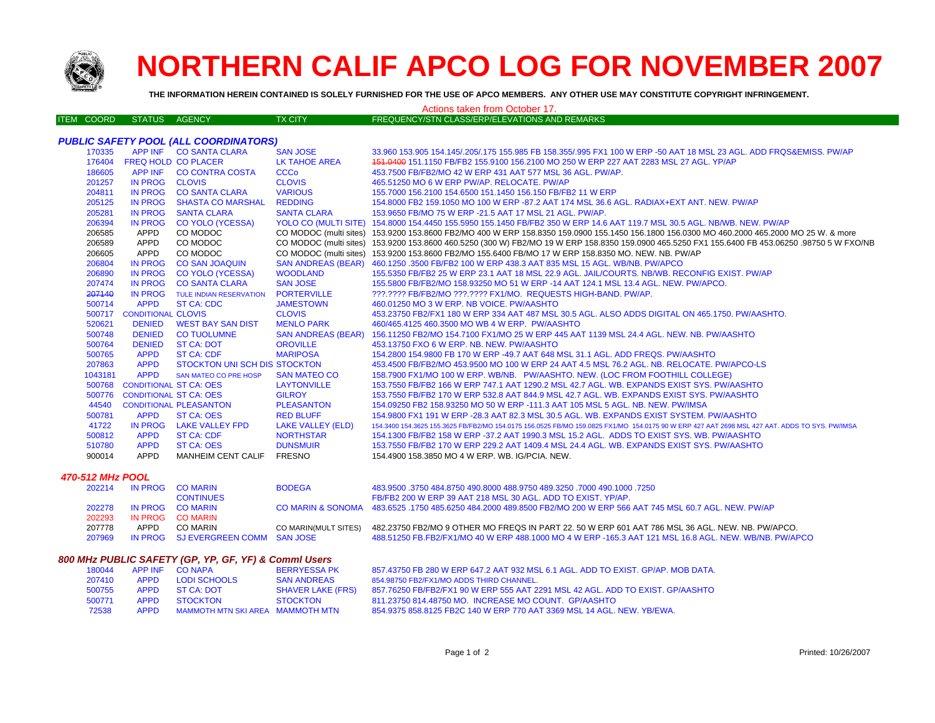

## **NORTHERN CALIF APCO LOG FOR NOVEMBER 2007**

**THE INFORMATION HEREIN CONTAINED IS SOLELY FURNISHED FOR THE USE OF APCO MEMBERS. ANY OTHER USE MAY CONSTITUTE COPYRIGHT INFRINGEMENT.**

## ITEM COORD STATUS AGENCY TX CITY FREQUENCY/STN CLASS/ERP/ELEVATIONS AND REMARKS *PUBLIC SAFETY POOL (ALL COORDINATORS)* APP INF CO SANTA CLARA SAN JOSE 33.960 153.905 154.145/.205/.175 155.985 FB 158.355/.995 FX1 100 W ERP -50 AAT 18 MSL 23 AGL. ADD FRQS&EMISS. PW/AP FREQ HOLD CO PLACER LK TAHOE AREA 151.0400 151.1150 FB/FB2 155.9100 156.2100 MO 250 W ERP 227 AAT 2283 MSL 27 AGL. YP/AP 186605 APP INF CO CONTRA COSTA CCCo 453.7500 FB/FB2/MO 42 W ERP 431 AAT 577 MSL 36 AGL. PW/AP. IN PROG CLOVIS CLOVIS 465.51250 MO 6 W ERP PW/AP. RELOCATE. PW/AP IN PROG CO SANTA CLARA VARIOUS 155.7000 156.2100 154.6500 151.1450 156.150 FB/FB2 11 W ERP IN PROG SHASTA CO MARSHAL REDDING 154.8000 FB2 159.1050 MO 100 W ERP -87.2 AAT 174 MSL 36.6 AGL. RADIAX+EXT ANT. NEW. PW/AP IN PROG SANTA CLARA SANTA CLARA 153.9650 FB/MO 75 W ERP -21.5 AAT 17 MSL 21 AGL. PW/AP. IN PROG CO YOLO (YCESSA) YOLO CO (MULTI SITE) 154.8000 154.4450 155.5950 155.1450 FB/FB2 350 W ERP 14.6 AAT 119.7 MSL 30.5 AGL. NB/WB. NEW. PW/AP 206585 APPD CO MODOC COMODOC (multi sites) 153.9200 153.8600 FB2/MO 400 W ERP 158.8350 159.0900 155.1450 156.1800 156.0300 MO 460.2000 465.2000 MO 25 W. & more APPD CO MODOC CO MODOC (multi sites) 153.9200 153.8600 460.5250 (300 W) FB2/MO 19 W ERP 158.8350 159.0900 465.5250 FX1 155.6400 FB 453.06250 .98750 5 W FXO/NB APPD CO MODOC CO MODOC (multi sites) 153.9200 153.8600 FB2/MO 155.6400 FB/MO 17 W ERP 158.8350 MO. NEW. NB. PW/AP IN PROG CO SAN JOAQUIN SAN ANDREAS (BEAR) 460.1250 .3500 FB/FB2 100 W ERP 438.3 AAT 835 MSL 15 AGL. WB/NB. PW/APCO IN PROG CO YOLO (YCESSA) WOODLAND 155.5350 FB/FB2 25 W ERP 23.1 AAT 18 MSL 22.9 AGL. JAIL/COURTS. NB/WB. RECONFIG EXIST. PW/AP IN PROG CO SANTA CLARA SAN JOSE 155.5800 FB/FB2/MO 158.93250 MO 51 W ERP -14 AAT 124.1 MSL 13.4 AGL. NEW. PW/APCO. IN PROG TULE INDIAN RESERVATION PORTERVILLE ???.???? FB/FB2/MO ???.???? FX1/MO. REQUESTS HIGH-BAND. PW/AP. APPD ST CA: CDC JAMESTOWN 460.01250 MO 3 W ERP. NB VOICE. PW/AASHTO CONDITIONAL CLOVIS CLOVIS 453.23750 FB2/FX1 180 W ERP 334 AAT 487 MSL 30.5 AGL. ALSO ADDS DIGITAL ON 465.1750. PW/AASHTO. 520621 DENIED WEST BAY SAN DIST MENLO PARK 460/465.4125 460.3500 MO WB 4 W ERP. PW/AASHTO DENIED CO TUOLUMNE SAN ANDREAS (BEAR) 156.11250 FB2/MO 154.7100 FX1/MO 25 W ERP 445 AAT 1139 MSL 24.4 AGL. NEW. NB. PW/AASHT O DENIED ST CA: DOT OROVILLE 453.13750 FXO 6 W ERP. NB. NEW. PW/AASHTO APPD ST CA: CDF MARIPOSA 154.2800 154.9800 FB 170 W ERP -49.7 AAT 648 MSL 31.1 AGL. ADD FREQS. PW/AASHTO APPD STOCKTON UNI SCH DIS STOCKTON 453.4500 FB/FB2/MO 453.9500 MO 100 W ERP 24 AAT 4.5 MSL 76.2 AGL. NB. RELOCATE. PW/APCO-LS APPDSAN MATEO CO PRE HOSP SAN MATEO CO 158.7900 FX1/MO 100 W ERP. WB/NB. PW/AASHTO. NEW. (LOC FROM FOOTHILL COLLEGE) CONDITIONAL ST CA: OES LAYTONVILLE 153.7550 FB/FB2 166 W ERP 747.1 AAT 1290.2 MSL 42.7 AGL. WB. EXPANDS EXIST SYS. PW/AASHTO CONDITIONAL ST CA: OES GILROY 153.7550 FB/FB2 170 W ERP 532.8 AAT 844.9 MSL 42.7 AGL. WB. EXPANDS EXIST SYS. PW/AASHTO CONDITIONAL PLEASANTON PLEASANTON 154.09250 FB2 158.93250 MO 50 W ERP -111.3 AAT 105 MSL 5 AGL. NB. NEW. PW/IMSA APPD ST CA: OES RED BLUFF 154.9800 FX1 191 W ERP -28.3 AAT 82.3 MSL 30.5 AGL. WB. EXPANDS EXIST SYSTEM. PW/AASHTO IN PROG LAKE VALLEY FPD LAKE VALLEY (ELD) 154.3400 154.3625 155.3625 FB/FB2/MO 154.0175 156.0525 FB/MO 159.0825 FX1/MO 154.0175 90 W ERP 427 AAT 2698 MSL 427 AAT. ADDS TO SYS. PW/IMSA APPD ST CA: CDF NORTHSTAR 154.1300 FB/FB2 158 W ERP -37.2 AAT 1990.3 MSL 15.2 AGL. ADDS TO EXIST SYS. WB. PW/AASHTO APPD ST CA: OES DUNSMUIR 153.7550 FB/FB2 170 W ERP 229.2 AAT 1409.4 MSL 24.4 AGL. WB. EXPANDS EXIST SYS. PW/AASHTO APPD MANHEIM CENT CALIF FRESNO 154.4900 158.3850 MO 4 W ERP. WB. IG/PCIA. NEW. *470-512 MHz POOL*Actions taken from October 17.

| 202214 |             | IN PROG CO MARIN                   | <b>BODEGA</b>        | 483.9500 .3750 484.8750 490.8000 488.9750 489.3250 .7000 490.1000 .7250                                           |
|--------|-------------|------------------------------------|----------------------|-------------------------------------------------------------------------------------------------------------------|
|        |             | <b>CONTINUES</b>                   |                      | FB/FB2 200 W ERP 39 AAT 218 MSL 30 AGL, ADD TO EXIST, YP/AP,                                                      |
| 202278 |             | IN PROG COMARIN                    |                      | CO MARIN & SONOMA 483.6525 .1750 485.6250 484.2000 489.8500 FB2/MO 200 W ERP 566 AAT 745 MSL 60.7 AGL. NEW, PW/AP |
| 202293 |             | IN PROG CO MARIN                   |                      |                                                                                                                   |
| 207778 | <b>APPD</b> | CO MARIN                           | CO MARIN(MULT SITES) | 482.23750 FB2/MO 9 OTHER MO FREQS IN PART 22. 50 W ERP 601 AAT 786 MSL 36 AGL. NEW. NB. PW/APCO.                  |
| 207969 |             | IN PROG SJ EVERGREEN COMM SAN JOSE |                      | 488.51250 FB.FB2/FX1/MO 40 W ERP 488.1000 MO 4 W ERP -165.3 AAT 121 MSL 16.8 AGL. NEW. WB/NB. PW/APCO             |
|        |             |                                    |                      |                                                                                                                   |

## *800 MHz PUBLIC SAFETY (GP, YP, GF, YF) & Comml Users*

| 180044 |             | APP INF CONAPA                   | <b>BERRYESSA PK</b>      | 857.43750 FB 280 W ERP 647.2 AAT 932 MSL 6.1 AGL, ADD TO EXIST, GP/AP, MOB DATA, |
|--------|-------------|----------------------------------|--------------------------|----------------------------------------------------------------------------------|
| 207410 | <b>APPD</b> | <b>LODI SCHOOLS</b>              | <b>SAN ANDREAS</b>       | 854.98750 FB2/FX1/MO ADDS THIRD CHANNEL.                                         |
| 500755 | APPD        | ST CA: DOT                       | <b>SHAVER LAKE (FRS)</b> | 857.76250 FB/FB2/FX1 90 W ERP 555 AAT 2291 MSL 42 AGL. ADD TO EXIST. GP/AASHTO   |
| 500771 | APPD        | STOCKTON                         | <b>STOCKTON</b>          | 811.23750 814.48750 MO. INCREASE MO COUNT. GP/AASHTO                             |
| 72538  | <b>APPD</b> | MAMMOTH MTN SKI AREA MAMMOTH MTN |                          | 854,9375 858,8125 FB2C 140 W ERP 770 AAT 3369 MSL 14 AGL, NEW, YB/EWA,           |